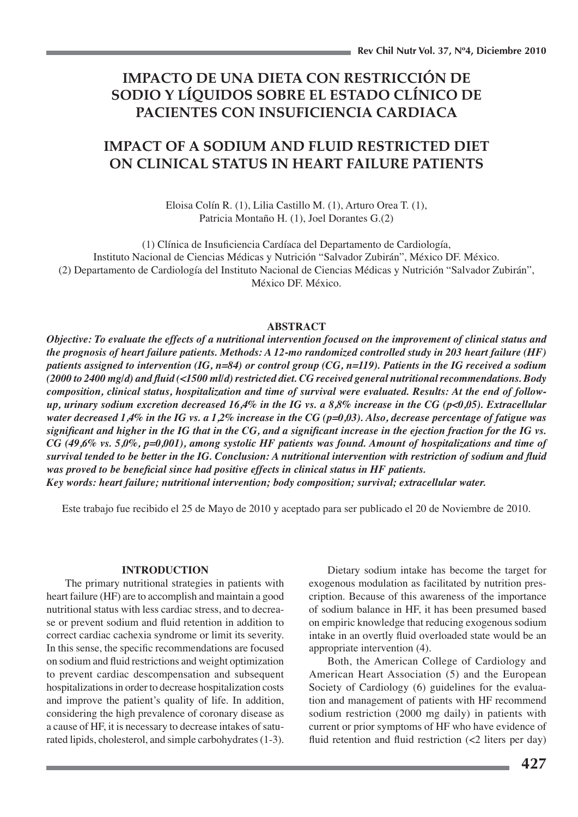# IMPACTO DE UNA DIETA CON RESTRICCIÓN DE SODIO Y LÍQUIDOS SOBRE EL ESTADO CLÍNICO DE PACIENTES CON INSUFICIENCIA CARDIACA

# **IMPACT OF A SODIUM AND FLUID RESTRICTED DIET** ON CLINICAL STATUS IN HEART FAILURE PATIENTS

Eloisa Colín R. (1), Lilia Castillo M. (1), Arturo Orea T. (1), Patricia Montaño H. (1), Joel Dorantes G.(2)

(1) Clínica de Insuficiencia Cardíaca del Departamento de Cardiología, Instituto Nacional de Ciencias Médicas y Nutrición "Salvador Zubirán", México DF. México. (2) Departamento de Cardiología del Instituto Nacional de Ciencias Médicas y Nutrición "Salvador Zubirán", México DF, México.

## **ABSTRACT**

Objective: To evaluate the effects of a nutritional intervention focused on the improvement of clinical status and the prognosis of heart failure patients. Methods: A 12-mo randomized controlled study in 203 heart failure (HF) patients assigned to intervention (IG,  $n=84$ ) or control group (CG,  $n=119$ ). Patients in the IG received a sodium  $(2000 \text{ to } 2400 \text{ mgl})$  and fluid (<1500 ml/d) restricted diet. CG received general nutritional recommendations. Body composition, clinical status, hospitalization and time of survival were evaluated. Results: At the end of followup, urinary sodium excretion decreased 16,4% in the IG vs. a 8,8% increase in the CG ( $p<0.05$ ). Extracellular water decreased 1,4% in the IG vs. a 1,2% increase in the CG ( $p=0,03$ ). Also, decrease percentage of fatigue was significant and higher in the IG that in the CG, and a significant increase in the ejection fraction for the IG vs. CG (49,6% vs. 5,0%, p=0,001), among systolic HF patients was found. Amount of hospitalizations and time of survival tended to be better in the IG. Conclusion: A nutritional intervention with restriction of sodium and fluid was proved to be beneficial since had positive effects in clinical status in HF patients. Key words: heart failure; nutritional intervention; body composition; survival; extracellular water.

Este trabajo fue recibido el 25 de Mayo de 2010 y aceptado para ser publicado el 20 de Noviembre de 2010.

## **INTRODUCTION**

The primary nutritional strategies in patients with heart failure (HF) are to accomplish and maintain a good nutritional status with less cardiac stress, and to decrease or prevent sodium and fluid retention in addition to correct cardiac cachexia syndrome or limit its severity. In this sense, the specific recommendations are focused on sodium and fluid restrictions and weight optimization to prevent cardiac descompensation and subsequent hospitalizations in order to decrease hospitalization costs and improve the patient's quality of life. In addition, considering the high prevalence of coronary disease as a cause of HF, it is necessary to decrease intakes of saturated lipids, cholesterol, and simple carbohydrates (1-3).

Dietary sodium intake has become the target for exogenous modulation as facilitated by nutrition prescription. Because of this awareness of the importance of sodium balance in HF, it has been presumed based on empiric knowledge that reducing exogenous sodium intake in an overtly fluid overloaded state would be an appropriate intervention (4).

Both, the American College of Cardiology and American Heart Association (5) and the European Society of Cardiology (6) guidelines for the evaluation and management of patients with HF recommend sodium restriction (2000 mg daily) in patients with current or prior symptoms of HF who have evidence of fluid retention and fluid restriction  $\left($ <2 liters per day)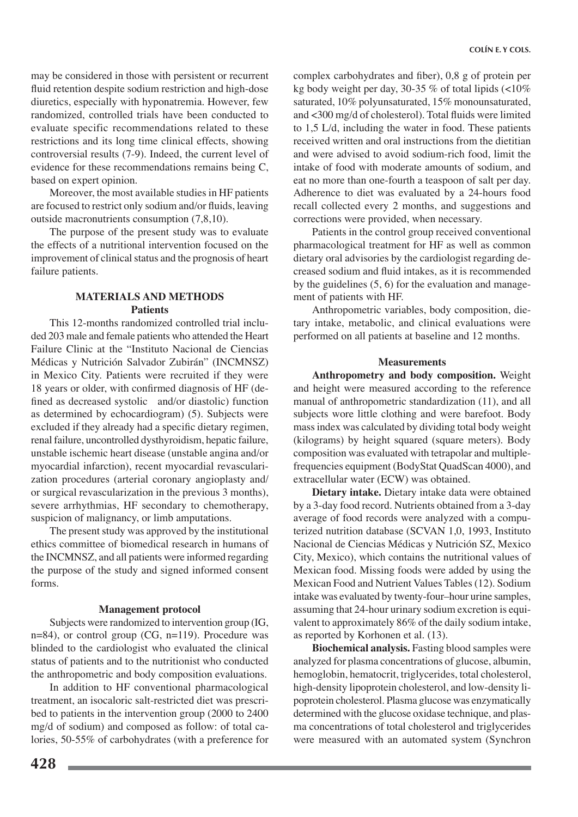may be considered in those with persistent or recurrent fluid retention despite sodium restriction and high-dose diuretics, especially with hyponatremia. However, few randomized, controlled trials have been conducted to evaluate specific recommendations related to these restrictions and its long time clinical effects, showing controversial results (7-9). Indeed, the current level of evidence for these recommendations remains being C, based on expert opinion.

Moreover, the most available studies in HF patients are focused to restrict only sodium and/or fluids, leaving outside macronutrients consumption (7,8,10).

The purpose of the present study was to evaluate the effects of a nutritional intervention focused on the improvement of clinical status and the prognosis of heart failure patients.

# **MATERIALS AND METHODS Patients**

This 12-months randomized controlled trial included 203 male and female patients who attended the Heart Failure Clinic at the "Instituto Nacional de Ciencias Médicas y Nutrición Salvador Zubirán" (INCMNSZ) in Mexico City. Patients were recruited if they were 18 years or older, with confirmed diagnosis of HF (defined as decreased systolic and/or diastolic) function as determined by echocardiogram) (5). Subjects were excluded if they already had a specific dietary regimen, renal failure, uncontrolled dysthyroidism, hepatic failure, unstable ischemic heart disease (unstable angina and/or myocardial infarction), recent myocardial revascularization procedures (arterial coronary angioplasty and/ or surgical revascularization in the previous 3 months), severe arrhythmias, HF secondary to chemotherapy, suspicion of malignancy, or limb amputations.

The present study was approved by the institutional ethics committee of biomedical research in humans of the INCMNSZ, and all patients were informed regarding the purpose of the study and signed informed consent forms.

## **Management protocol**

Subjects were randomized to intervention group (IG, n=84), or control group (CG, n=119). Procedure was blinded to the cardiologist who evaluated the clinical status of patients and to the nutritionist who conducted the anthropometric and body composition evaluations.

In addition to HF conventional pharmacological treatment, an isocaloric salt-restricted diet was prescribed to patients in the intervention group (2000 to 2400) mg/d of sodium) and composed as follow: of total calories, 50-55% of carbohydrates (with a preference for

complex carbohydrates and fiber), 0,8 g of protein per kg body weight per day, 30-35 % of total lipids  $\left($  < 10% saturated, 10% polyunsaturated, 15% monounsaturated, and <300 mg/d of cholesterol). Total fluids were limited to 1,5 L/d, including the water in food. These patients received written and oral instructions from the dietitian and were advised to avoid sodium-rich food, limit the intake of food with moderate amounts of sodium, and eat no more than one-fourth a teaspoon of salt per day. Adherence to diet was evaluated by a 24-hours food recall collected every 2 months, and suggestions and corrections were provided, when necessary.

Patients in the control group received conventional pharmacological treatment for HF as well as common dietary oral advisories by the cardiologist regarding decreased sodium and fluid intakes, as it is recommended by the guidelines  $(5, 6)$  for the evaluation and management of patients with HF.

Anthropometric variables, body composition, dietary intake, metabolic, and clinical evaluations were performed on all patients at baseline and 12 months.

## **Measurements**

Anthropometry and body composition. Weight and height were measured according to the reference manual of anthropometric standardization (11), and all subjects wore little clothing and were barefoot. Body mass index was calculated by dividing total body weight (kilograms) by height squared (square meters). Body composition was evaluated with tetrapolar and multiplefrequencies equipment (BodyStat QuadScan 4000), and extracellular water (ECW) was obtained.

Dietary intake. Dietary intake data were obtained by a 3-day food record. Nutrients obtained from a 3-day average of food records were analyzed with a computerized nutrition database (SCVAN 1,0, 1993, Instituto Nacional de Ciencias Médicas y Nutrición SZ, Mexico City, Mexico), which contains the nutritional values of Mexican food. Missing foods were added by using the Mexican Food and Nutrient Values Tables (12). Sodium intake was evaluated by twenty-four-hour urine samples, assuming that 24-hour urinary sodium excretion is equivalent to approximately 86% of the daily sodium intake, as reported by Korhonen et al. (13).

**Biochemical analysis.** Fasting blood samples were analyzed for plasma concentrations of glucose, albumin, hemoglobin, hematocrit, triglycerides, total cholesterol, high-density lipoprotein cholesterol, and low-density lipoprotein cholesterol. Plasma glucose was enzymatically determined with the glucose oxidase technique, and plasma concentrations of total cholesterol and triglycerides were measured with an automated system (Synchron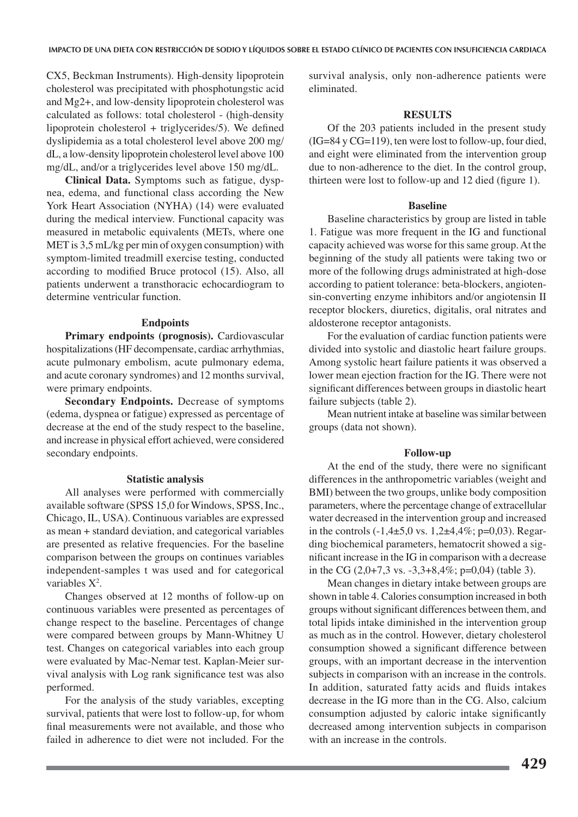CX5, Beckman Instruments). High-density lipoprotein cholesterol was precipitated with phosphotungstic acid and Mg2+, and low-density lipoprotein cholesterol was calculated as follows: total cholesterol - (high-density lipoprotein cholesterol  $+$  triglycerides/5). We defined dyslipidemia as a total cholesterol level above 200 mg/ dL, a low-density lipoprotein cholesterol level above 100 mg/dL, and/or a triglycerides level above 150 mg/dL.

Clinical Data. Symptoms such as fatigue, dyspnea, edema, and functional class according the New York Heart Association (NYHA) (14) were evaluated during the medical interview. Functional capacity was measured in metabolic equivalents (METs, where one MET is 3,5 mL/kg per min of oxygen consumption) with symptom-limited treadmill exercise testing, conducted according to modified Bruce protocol (15). Also, all patients underwent a transthoracic echocardiogram to determine ventricular function.

### **Endpoints**

Primary endpoints (prognosis). Cardiovascular hospitalizations (HF decompensate, cardiac arrhythmias, acute pulmonary embolism, acute pulmonary edema, and acute coronary syndromes) and 12 months survival, were primary endpoints.

**Secondary Endpoints.** Decrease of symptoms (edema, dyspnea or fatigue) expressed as percentage of decrease at the end of the study respect to the baseline, and increase in physical effort achieved, were considered secondary endpoints.

#### **Statistic analysis**

All analyses were performed with commercially available software (SPSS 15,0 for Windows, SPSS, Inc., Chicago, IL, USA). Continuous variables are expressed as mean + standard deviation, and categorical variables are presented as relative frequencies. For the baseline comparison between the groups on continues variables independent-samples t was used and for categorical variables  $X^2$ .

Changes observed at 12 months of follow-up on continuous variables were presented as percentages of change respect to the baseline. Percentages of change were compared between groups by Mann-Whitney U test. Changes on categorical variables into each group were evaluated by Mac-Nemar test. Kaplan-Meier survival analysis with Log rank significance test was also performed.

For the analysis of the study variables, excepting survival, patients that were lost to follow-up, for whom final measurements were not available, and those who failed in adherence to diet were not included. For the

survival analysis, only non-adherence patients were eliminated.

## **RESULTS**

Of the 203 patients included in the present study (IG=84 y CG=119), ten were lost to follow-up, four died, and eight were eliminated from the intervention group due to non-adherence to the diet. In the control group, thirteen were lost to follow-up and 12 died (figure 1).

#### **Baseline**

Baseline characteristics by group are listed in table 1. Fatigue was more frequent in the IG and functional capacity achieved was worse for this same group. At the beginning of the study all patients were taking two or more of the following drugs administrated at high-dose according to patient tolerance: beta-blockers, angiotensin-converting enzyme inhibitors and/or angiotensin II receptor blockers, diuretics, digitalis, oral nitrates and aldosterone receptor antagonists.

For the evaluation of cardiac function patients were divided into systolic and diastolic heart failure groups. Among systolic heart failure patients it was observed a lower mean ejection fraction for the IG. There were not significant differences between groups in diastolic heart failure subjects (table 2).

Mean nutrient intake at baseline was similar between groups (data not shown).

#### **Follow-up**

At the end of the study, there were no significant differences in the anthropometric variables (weight and BMI) between the two groups, unlike body composition parameters, where the percentage change of extracellular water decreased in the intervention group and increased in the controls  $(-1,4\pm 5,0 \text{ vs. } 1,2\pm 4,4\%; \text{ p=0,03}).$  Regarding biochemical parameters, hematocrit showed a significant increase in the IG in comparison with a decrease in the CG  $(2,0+7,3 \text{ vs. } -3,3+8,4\%; \text{ p=0,04})$  (table 3).

Mean changes in dietary intake between groups are shown in table 4. Calories consumption increased in both groups without significant differences between them, and total lipids intake diminished in the intervention group as much as in the control. However, dietary cholesterol consumption showed a significant difference between groups, with an important decrease in the intervention subjects in comparison with an increase in the controls. In addition, saturated fatty acids and fluids intakes decrease in the IG more than in the CG. Also, calcium consumption adjusted by caloric intake significantly decreased among intervention subjects in comparison with an increase in the controls.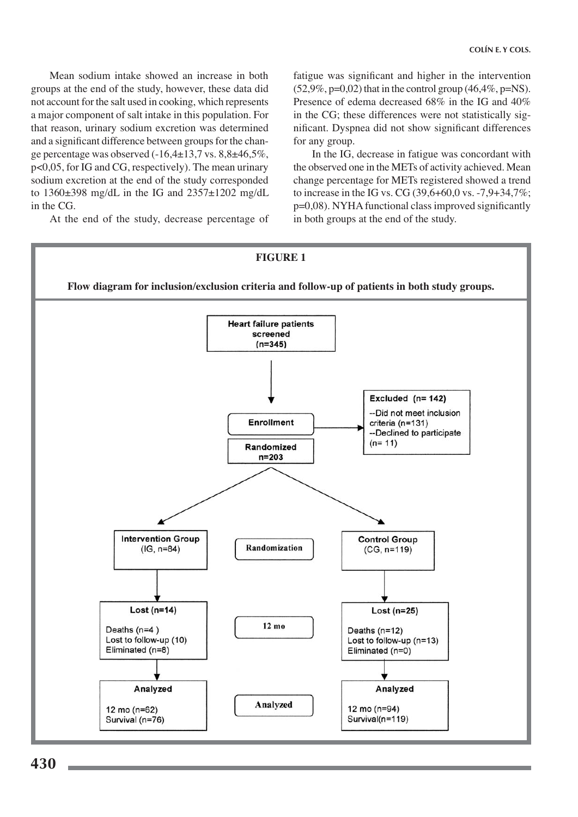Mean sodium intake showed an increase in both groups at the end of the study, however, these data did not account for the salt used in cooking, which represents a major component of salt intake in this population. For that reason, urinary sodium excretion was determined and a significant difference between groups for the change percentage was observed  $(-16,4\pm 13,7)$  vs.  $8,8\pm 46,5\%$ , p<0,05, for IG and CG, respectively). The mean urinary sodium excretion at the end of the study corresponded to  $1360\pm398$  mg/dL in the IG and  $2357\pm1202$  mg/dL in the CG.

At the end of the study, decrease percentage of

fatigue was significant and higher in the intervention  $(52,9\%, p=0,02)$  that in the control group  $(46,4\%, p=NS)$ . Presence of edema decreased 68% in the IG and 40% in the CG; these differences were not statistically significant. Dyspnea did not show significant differences for any group.

In the IG, decrease in fatigue was concordant with the observed one in the METs of activity achieved. Mean change percentage for METs registered showed a trend to increase in the IG vs. CG  $(39,6+60,0 \text{ vs. } -7,9+34,7\%;$ p=0,08). NYHA functional class improved significantly in both groups at the end of the study.

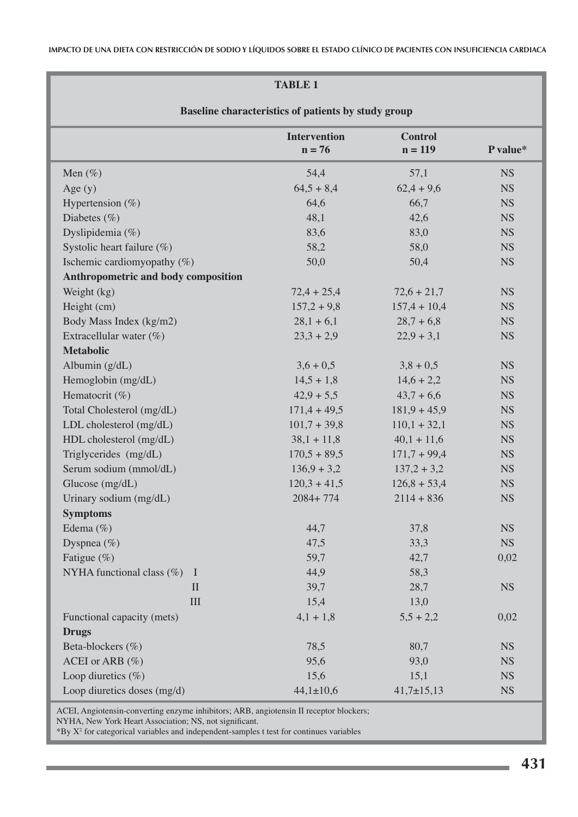IMPACTO DE UNA DIETA CON RESTRICCIÓN DE SODIO Y LÍQUIDOS SOBRE EL ESTADO CLÍNICO DE PACIENTES CON INSUFICIENCIA CARDIACA

# **TABLE 1**

| Baseline characteristics of patients by study group |                                 |                             |           |  |  |  |
|-----------------------------------------------------|---------------------------------|-----------------------------|-----------|--|--|--|
|                                                     | <b>Intervention</b><br>$n = 76$ | <b>Control</b><br>$n = 119$ | P value*  |  |  |  |
| Men $(\%)$                                          | 54,4                            | 57,1                        | <b>NS</b> |  |  |  |
| Age $(y)$                                           | $64,5+8,4$                      | $62,4+9,6$                  | <b>NS</b> |  |  |  |
| Hypertension $(\% )$                                | 64,6                            | 66,7                        | <b>NS</b> |  |  |  |
| Diabetes $(\% )$                                    | 48,1                            | 42,6                        | <b>NS</b> |  |  |  |
| Dyslipidemia (%)                                    | 83,6                            | 83,0                        | <b>NS</b> |  |  |  |
| Systolic heart failure (%)                          | 58,2                            | 58,0                        | <b>NS</b> |  |  |  |
| Ischemic cardiomyopathy $(\%)$                      | 50,0                            | 50,4                        | <b>NS</b> |  |  |  |
| Anthropometric and body composition                 |                                 |                             |           |  |  |  |
| Weight (kg)                                         | $72,4 + 25,4$                   | $72,6 + 21,7$               | <b>NS</b> |  |  |  |
| Height (cm)                                         | $157,2+9,8$                     | $157,4 + 10,4$              | <b>NS</b> |  |  |  |
| Body Mass Index (kg/m2)                             | $28,1 + 6,1$                    | $28.7 + 6.8$                | <b>NS</b> |  |  |  |
| Extracellular water $(\%)$                          | $23,3 + 2,9$                    | $22,9+3,1$                  | <b>NS</b> |  |  |  |
| <b>Metabolic</b>                                    |                                 |                             |           |  |  |  |
| Albumin $(g/dL)$                                    | $3,6 + 0,5$                     | $3,8 + 0,5$                 | <b>NS</b> |  |  |  |
| Hemoglobin (mg/dL)                                  | $14,5 + 1,8$                    | $14,6 + 2,2$                | <b>NS</b> |  |  |  |
| Hematocrit (%)                                      | $42,9+5,5$                      | $43,7+6,6$                  | <b>NS</b> |  |  |  |
| Total Cholesterol (mg/dL)                           | $171,4 + 49,5$                  | $181,9 + 45,9$              | <b>NS</b> |  |  |  |
| LDL cholesterol (mg/dL)                             | $101,7+39,8$                    | $110,1 + 32,1$              | <b>NS</b> |  |  |  |
| HDL cholesterol (mg/dL)                             | $38,1 + 11,8$                   | $40,1 + 11,6$               | <b>NS</b> |  |  |  |
| Triglycerides (mg/dL)                               | $170,5 + 89,5$                  | $171,7+99,4$                | <b>NS</b> |  |  |  |
| Serum sodium (mmol/dL)                              | $136.9 + 3.2$                   | $137,2+3,2$                 | <b>NS</b> |  |  |  |
| Glucose (mg/dL)                                     | $120,3 + 41,5$                  | $126,8+53,4$                | <b>NS</b> |  |  |  |
| Urinary sodium (mg/dL)                              | $2084 + 774$                    | $2114 + 836$                | <b>NS</b> |  |  |  |
| <b>Symptoms</b>                                     |                                 |                             |           |  |  |  |
| Edema $(\% )$                                       | 44,7                            | 37,8                        | <b>NS</b> |  |  |  |
| Dyspnea $(\% )$                                     | 47,5                            | 33,3                        | <b>NS</b> |  |  |  |
| Fatigue (%)                                         | 59,7                            | 42,7                        | 0,02      |  |  |  |
| NYHA functional class $(\%)$<br>- 1                 | 44,9                            | 58,3                        |           |  |  |  |
| $\mathbf{I}$                                        | 39,7                            | 28,7                        | <b>NS</b> |  |  |  |
| III                                                 | 15,4                            | 13,0                        |           |  |  |  |
| Functional capacity (mets)                          | $4,1 + 1,8$                     | $5,5 + 2,2$                 | 0,02      |  |  |  |
| <b>Drugs</b>                                        |                                 |                             |           |  |  |  |
| Beta-blockers (%)                                   | 78,5                            | 80,7                        | <b>NS</b> |  |  |  |
| ACEI or ARB (%)                                     | 95,6                            | 93,0                        | <b>NS</b> |  |  |  |
| Loop diuretics $(\%)$                               | 15,6                            | 15,1                        | <b>NS</b> |  |  |  |
| Loop diuretics doses (mg/d)                         | $44,1 \pm 10,6$                 | $41,7 \pm 15,13$            | <b>NS</b> |  |  |  |

ACEI, Angiotensin-converting enzyme inhibitors; ARB, angiotensin II receptor blockers; NYHA, New York Heart Association; NS, not significant.

\*By X<sup>2</sup> for categorical variables and independent-samples t test for continues variables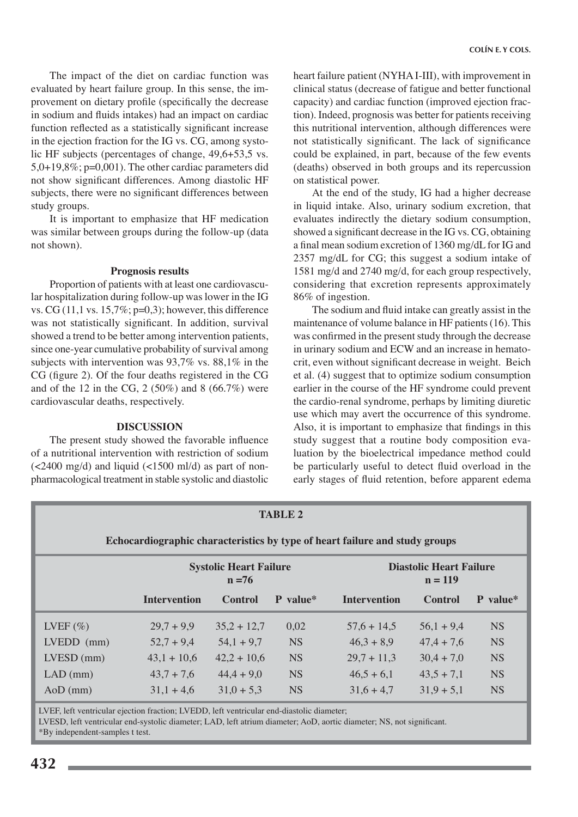The impact of the diet on cardiac function was evaluated by heart failure group. In this sense, the improvement on dietary profile (specifically the decrease in sodium and fluids intakes) had an impact on cardiac function reflected as a statistically significant increase in the ejection fraction for the IG vs. CG, among systolic HF subjects (percentages of change, 49,6+53,5 vs.  $5,0+19,8\%$ ; p=0,001). The other cardiac parameters did not show significant differences. Among diastolic HF subjects, there were no significant differences between study groups.

It is important to emphasize that HF medication was similar between groups during the follow-up (data not shown).

### **Prognosis results**

Proportion of patients with at least one cardiovascular hospitalization during follow-up was lower in the IG vs. CG  $(11, 1 \text{ vs. } 15, 7\%; \text{p=0,3})$ ; however, this difference was not statistically significant. In addition, survival showed a trend to be better among intervention patients, since one-year cumulative probability of survival among subjects with intervention was  $93,7\%$  vs.  $88,1\%$  in the CG (figure 2). Of the four deaths registered in the CG and of the 12 in the CG,  $2(50\%)$  and 8 (66.7%) were cardiovascular deaths, respectively.

## **DISCUSSION**

The present study showed the favorable influence of a nutritional intervention with restriction of sodium  $\left($  <2400 mg/d) and liquid (<1500 ml/d) as part of nonpharmacological treatment in stable systolic and diastolic heart failure patient (NYHAI-III), with improvement in clinical status (decrease of fatigue and better functional capacity) and cardiac function (improved ejection fraction). Indeed, prognosis was better for patients receiving this nutritional intervention, although differences were not statistically significant. The lack of significance could be explained, in part, because of the few events (deaths) observed in both groups and its repercussion on statistical power.

At the end of the study, IG had a higher decrease in liquid intake. Also, urinary sodium excretion, that evaluates indirectly the dietary sodium consumption, showed a significant decrease in the IG vs. CG, obtaining a final mean sodium excretion of 1360 mg/dL for IG and 2357 mg/dL for CG; this suggest a sodium intake of 1581 mg/d and 2740 mg/d, for each group respectively, considering that excretion represents approximately 86% of ingestion.

The sodium and fluid intake can greatly assist in the maintenance of volume balance in HF patients (16). This was confirmed in the present study through the decrease in urinary sodium and ECW and an increase in hematocrit, even without significant decrease in weight. Beich et al. (4) suggest that to optimize sodium consumption earlier in the course of the HF syndrome could prevent the cardio-renal syndrome, perhaps by limiting diuretic use which may avert the occurrence of this syndrome. Also, it is important to emphasize that findings in this study suggest that a routine body composition evaluation by the bioelectrical impedance method could be particularly useful to detect fluid overload in the early stages of fluid retention, before apparent edema

| <b>TABLE 2</b>                                                              |                                           |                |           |                                             |                |           |  |
|-----------------------------------------------------------------------------|-------------------------------------------|----------------|-----------|---------------------------------------------|----------------|-----------|--|
| Echocardiographic characteristics by type of heart failure and study groups |                                           |                |           |                                             |                |           |  |
|                                                                             | <b>Systolic Heart Failure</b><br>$n = 76$ |                |           | <b>Diastolic Heart Failure</b><br>$n = 119$ |                |           |  |
|                                                                             | <b>Intervention</b>                       | <b>Control</b> | P value*  | <b>Intervention</b>                         | <b>Control</b> | P value*  |  |
| LVEF $(\% )$                                                                | $29.7 + 9.9$                              | $35,2 + 12,7$  | 0,02      | $57,6 + 14,5$                               | $56,1 + 9,4$   | <b>NS</b> |  |
| $LVEDD$ (mm)                                                                | $52,7+9,4$                                | $54,1 + 9,7$   | <b>NS</b> | $46,3 + 8,9$                                | $47,4 + 7,6$   | <b>NS</b> |  |
| $LVESD$ (mm)                                                                | $43,1 + 10,6$                             | $42,2 + 10,6$  | <b>NS</b> | $29.7 + 11.3$                               | $30,4 + 7,0$   | <b>NS</b> |  |
| $LAD$ (mm)                                                                  | $43.7 + 7.6$                              | $44,4+9,0$     | <b>NS</b> | $46,5+6,1$                                  | $43.5 + 7.1$   | <b>NS</b> |  |
| $AoD$ (mm)                                                                  | $31,1 + 4,6$                              | $31.0 + 5.3$   | <b>NS</b> | $31.6 + 4.7$                                | $31.9 + 5.1$   | <b>NS</b> |  |

LVEF, left ventricular ejection fraction: LVEDD, left ventricular end-diastolic diameter:

LVESD, left ventricular end-systolic diameter; LAD, left atrium diameter; AoD, aortic diameter; NS, not significant.

\*By independent-samples t test.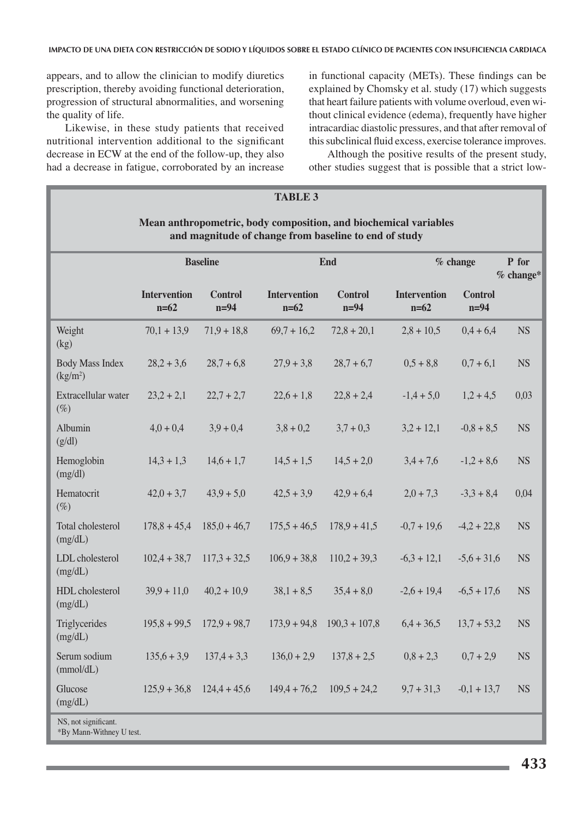appears, and to allow the clinician to modify diuretics prescription, thereby avoiding functional deterioration, progression of structural abnormalities, and worsening the quality of life.

Likewise, in these study patients that received nutritional intervention additional to the significant decrease in ECW at the end of the follow-up, they also had a decrease in fatigue, corroborated by an increase in functional capacity (METs). These findings can be explained by Chomsky et al. study (17) which suggests that heart failure patients with volume overloud, even without clinical evidence (edema), frequently have higher intracardiac diastolic pressures, and that after removal of this subclinical fluid excess, exercise tolerance improves.

Although the positive results of the present study, other studies suggest that is possible that a strict low-

| <b>TABLE 3</b>                                                                                                            |                               |                               |                               |                                |                               |                          |                      |
|---------------------------------------------------------------------------------------------------------------------------|-------------------------------|-------------------------------|-------------------------------|--------------------------------|-------------------------------|--------------------------|----------------------|
| Mean anthropometric, body composition, and biochemical variables<br>and magnitude of change from baseline to end of study |                               |                               |                               |                                |                               |                          |                      |
|                                                                                                                           | <b>Baseline</b>               |                               |                               | <b>End</b>                     | $%$ change                    |                          | P for<br>$%$ change* |
|                                                                                                                           | <b>Intervention</b><br>$n=62$ | <b>Control</b><br>$n=94$      | <b>Intervention</b><br>$n=62$ | <b>Control</b><br>$n=94$       | <b>Intervention</b><br>$n=62$ | <b>Control</b><br>$n=94$ |                      |
| Weight<br>(kg)                                                                                                            | $70,1 + 13,9$                 | $71,9+18,8$                   | $69,7 + 16,2$                 | $72,8 + 20,1$                  | $2,8 + 10,5$                  | $0,4+6,4$                | <b>NS</b>            |
| <b>Body Mass Index</b><br>$\frac{\text{kg}}{\text{m}^2}$                                                                  | $28,2+3,6$                    | $28,7+6,8$                    | $27,9+3,8$                    | $28,7+6,7$                     | $0,5 + 8,8$                   | $0,7+6,1$                | <b>NS</b>            |
| Extracellular water<br>$(\%)$                                                                                             | $23,2 + 2,1$                  | $22,7 + 2,7$                  | $22,6 + 1,8$                  | $22,8 + 2,4$                   | $-1,4+5,0$                    | $1,2+4,5$                | 0,03                 |
| Albumin<br>(g/dl)                                                                                                         | $4,0+0,4$                     | $3,9 + 0,4$                   | $3,8 + 0,2$                   | $3,7 + 0,3$                    | $3,2 + 12,1$                  | $-0.8 + 8.5$             | <b>NS</b>            |
| Hemoglobin<br>(mg/dl)                                                                                                     | $14,3 + 1,3$                  | $14,6 + 1,7$                  | $14,5 + 1,5$                  | $14,5 + 2,0$                   | $3,4 + 7,6$                   | $-1,2+8,6$               | <b>NS</b>            |
| Hematocrit<br>$(\%)$                                                                                                      | $42,0+3,7$                    | $43,9+5,0$                    | $42,5 + 3,9$                  | $42,9+6,4$                     | $2,0 + 7,3$                   | $-3,3 + 8,4$             | 0,04                 |
| Total cholesterol<br>(mg/dL)                                                                                              | $178,8 + 45,4$                | $185,0+46,7$                  | $175,5 + 46,5$                | $178,9 + 41,5$                 | $-0.7 + 19.6$                 | $-4,2+22,8$              | <b>NS</b>            |
| LDL cholesterol<br>(mg/dL)                                                                                                | $102,4+38,7$                  | $117,3 + 32,5$                | $106.9 + 38.8$                | $110,2 + 39,3$                 | $-6,3 + 12,1$                 | $-5,6 + 31,6$            | <b>NS</b>            |
| HDL cholesterol<br>(mg/dL)                                                                                                | $39.9 + 11.0$                 | $40,2 + 10,9$                 | $38,1 + 8,5$                  | $35,4 + 8,0$                   | $-2,6 + 19,4$                 | $-6,5 + 17,6$            | <b>NS</b>            |
| Triglycerides<br>(mg/dL)                                                                                                  |                               | $195,8 + 99,5$ $172,9 + 98,7$ |                               | $173,9 + 94,8$ $190,3 + 107,8$ | $6,4+36,5$                    | $13,7 + 53,2$            | <b>NS</b>            |
| Serum sodium<br>(mmol/dL)                                                                                                 | $135,6+3,9$                   | $137,4 + 3,3$                 | $136,0 + 2,9$                 | $137,8 + 2,5$                  | $0,8 + 2,3$                   | $0,7+2,9$                | <b>NS</b>            |
| Glucose<br>(mg/dL)                                                                                                        | $125,9 + 36,8$                | $124,4+45,6$                  | $149,4 + 76,2$                | $109,5 + 24,2$                 | $9,7 + 31,3$                  | $-0,1 + 13,7$            | <b>NS</b>            |
| NS, not significant.<br>*By Mann-Withney U test.                                                                          |                               |                               |                               |                                |                               |                          |                      |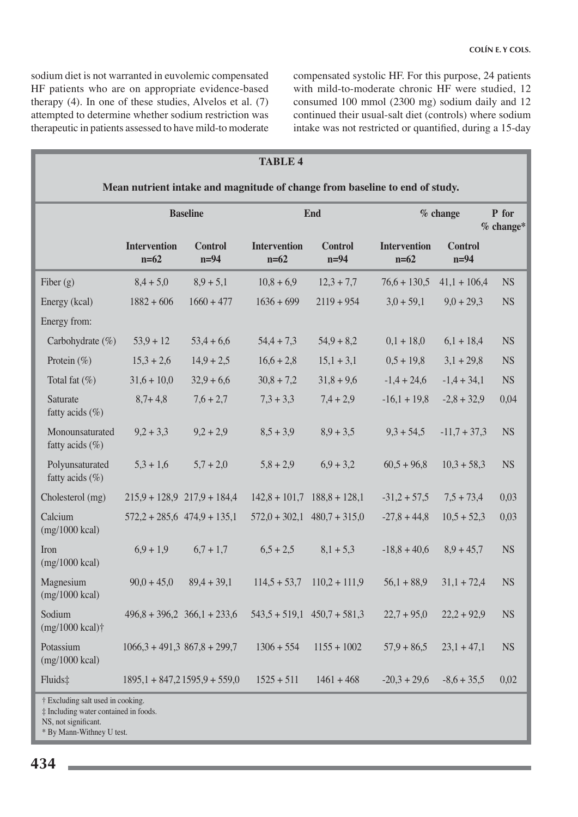sodium diet is not warranted in euvolemic compensated HF patients who are on appropriate evidence-based therapy  $(4)$ . In one of these studies, Alvelos et al.  $(7)$ attempted to determine whether sodium restriction was therapeutic in patients assessed to have mild-to moderate compensated systolic HF. For this purpose, 24 patients with mild-to-moderate chronic HF were studied, 12 consumed 100 mmol (2300 mg) sodium daily and 12 continued their usual-salt diet (controls) where sodium intake was not restricted or quantified, during a 15-day

| <b>TABLE 4</b>                                                              |                               |                                     |                               |                                 |                               |                          |           |
|-----------------------------------------------------------------------------|-------------------------------|-------------------------------------|-------------------------------|---------------------------------|-------------------------------|--------------------------|-----------|
| Mean nutrient intake and magnitude of change from baseline to end of study. |                               |                                     |                               |                                 |                               |                          |           |
|                                                                             | <b>Baseline</b>               |                                     |                               | End                             |                               | % change<br>$%$ change*  |           |
|                                                                             | <b>Intervention</b><br>$n=62$ | <b>Control</b><br>$n=94$            | <b>Intervention</b><br>$n=62$ | <b>Control</b><br>$n=94$        | <b>Intervention</b><br>$n=62$ | <b>Control</b><br>$n=94$ |           |
| Fiber $(g)$                                                                 | $8,4+5,0$                     | $8,9+5,1$                           | $10,8+6,9$                    | $12,3 + 7,7$                    | $76,6 + 130,5$                | $41,1 + 106,4$           | <b>NS</b> |
| Energy (kcal)                                                               | $1882 + 606$                  | $1660 + 477$                        | $1636 + 699$                  | $2119 + 954$                    | $3,0 + 59,1$                  | $9,0 + 29,3$             | <b>NS</b> |
| Energy from:                                                                |                               |                                     |                               |                                 |                               |                          |           |
| Carbohydrate (%)                                                            | $53,9+12$                     | $53,4+6,6$                          | $54,4 + 7,3$                  | $54,9+8,2$                      | $0,1 + 18,0$                  | $6,1 + 18,4$             | <b>NS</b> |
| Protein $(\% )$                                                             | $15,3 + 2,6$                  | $14,9 + 2,5$                        | $16,6 + 2,8$                  | $15,1 + 3,1$                    | $0,5 + 19,8$                  | $3,1 + 29,8$             | <b>NS</b> |
| Total fat $(\%)$                                                            | $31,6 + 10,0$                 | $32,9+6,6$                          | $30,8 + 7,2$                  | $31,8 + 9,6$                    | $-1,4 + 24,6$                 | $-1,4 + 34,1$            | <b>NS</b> |
| Saturate<br>fatty acids (%)                                                 | $8,7+4,8$                     | $7,6 + 2,7$                         | $7,3 + 3,3$                   | $7,4 + 2,9$                     | $-16,1 + 19,8$                | $-2,8 + 32,9$            | 0,04      |
| Monounsaturated<br>fatty acids $(\%)$                                       | $9,2 + 3,3$                   | $9,2 + 2,9$                         | $8,5+3,9$                     | $8,9+3,5$                       | $9,3 + 54,5$                  | $-11,7 + 37,3$           | <b>NS</b> |
| Polyunsaturated<br>fatty acids $(\%)$                                       | $5,3 + 1,6$                   | $5,7 + 2,0$                         | $5,8 + 2,9$                   | $6,9+3,2$                       | $60,5 + 96,8$                 | $10,3 + 58,3$            | <b>NS</b> |
| Cholesterol (mg)                                                            |                               | $215,9 + 128,9$ $217,9 + 184,4$     |                               | $142,8 + 101,7$ $188,8 + 128,1$ | $-31,2+57,5$                  | $7,5 + 73,4$             | 0,03      |
| Calcium<br>$(mg/1000 \text{ kcal})$                                         |                               | $572,2 + 285,6$ $474,9 + 135,1$     |                               | $572,0 + 302,1$ 480,7 + 315,0   | $-27,8+44,8$                  | $10,5 + 52,3$            | 0,03      |
| Iron<br>$(mg/1000 \text{ kcal})$                                            | $6.9 + 1.9$                   | $6,7+1,7$                           | $6,5 + 2,5$                   | $8,1 + 5,3$                     | $-18,8 + 40,6$                | $8,9 + 45,7$             | <b>NS</b> |
| Magnesium<br>$(mg/1000 \text{ kcal})$                                       | $90,0 + 45,0$                 | $89,4 + 39,1$                       | $114,5+53,7$                  | $110,2 + 111,9$                 | $56,1 + 88,9$                 | $31,1 + 72,4$            | <b>NS</b> |
| Sodium<br>$(mg/1000 \text{ kcal})\dagger$                                   |                               | $496,8 + 396,2 \quad 366,1 + 233,6$ |                               | $543,5 + 519,1$ $450,7 + 581,3$ | $22,7+95,0$                   | $22,2 + 92,9$            | <b>NS</b> |
| Potassium<br>$(mg/1000 \text{ kcal})$                                       | $1066,3 + 491,3867,8 + 299,7$ |                                     | $1306 + 554$                  | $1155 + 1002$                   | $57,9 + 86,5$                 | $23,1 + 47,1$            | <b>NS</b> |
| Fluids‡                                                                     |                               | $1895,1 + 847,21595,9 + 559,0$      | $1525 + 511$                  | $1461 + 468$                    | $-20,3 + 29,6$                | $-8,6+35,5$              | 0,02      |
| † Excluding salt used in cooking.<br>‡ Including water contained in foods.  |                               |                                     |                               |                                 |                               |                          |           |

 $\blacksquare$  NS, not significant.

 $\blacksquare$  \* By Mann-Withney U test.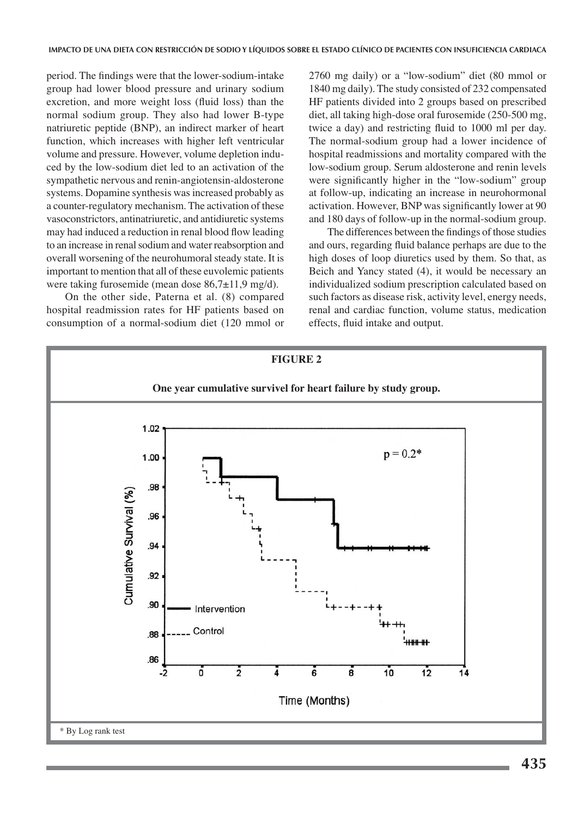period. The findings were that the lower-sodium-intake group had lower blood pressure and urinary sodium excretion, and more weight loss (fluid loss) than the normal sodium group. They also had lower B-type natriuretic peptide (BNP), an indirect marker of heart function, which increases with higher left ventricular volume and pressure. However, volume depletion induced by the low-sodium diet led to an activation of the sympathetic nervous and renin-angiotensin-aldosterone systems. Dopamine synthesis was increased probably as a counter-regulatory mechanism. The activation of these vasoconstrictors, antinatriuretic, and antidiuretic systems may had induced a reduction in renal blood flow leading to an increase in renal sodium and water reabsorption and overall worsening of the neurohumoral steady state. It is important to mention that all of these euvolemic patients were taking furosemide (mean dose  $86,7\pm11,9$  mg/d).

On the other side, Paterna et al. (8) compared hospital readmission rates for HF patients based on consumption of a normal-sodium diet (120 mmol or

2760 mg daily) or a "low-sodium" diet (80 mmol or 1840 mg daily). The study consisted of 232 compensated HF patients divided into 2 groups based on prescribed diet, all taking high-dose oral furosemide (250-500 mg, twice a day) and restricting fluid to 1000 ml per day. The normal-sodium group had a lower incidence of hospital readmissions and mortality compared with the low-sodium group. Serum aldosterone and renin levels were significantly higher in the "low-sodium" group at follow-up, indicating an increase in neurohormonal activation. However, BNP was significantly lower at 90 and 180 days of follow-up in the normal-sodium group.

The differences between the findings of those studies and ours, regarding fluid balance perhaps are due to the high doses of loop diuretics used by them. So that, as Beich and Yancy stated (4), it would be necessary an individualized sodium prescription calculated based on such factors as disease risk, activity level, energy needs, renal and cardiac function, volume status, medication effects, fluid intake and output.

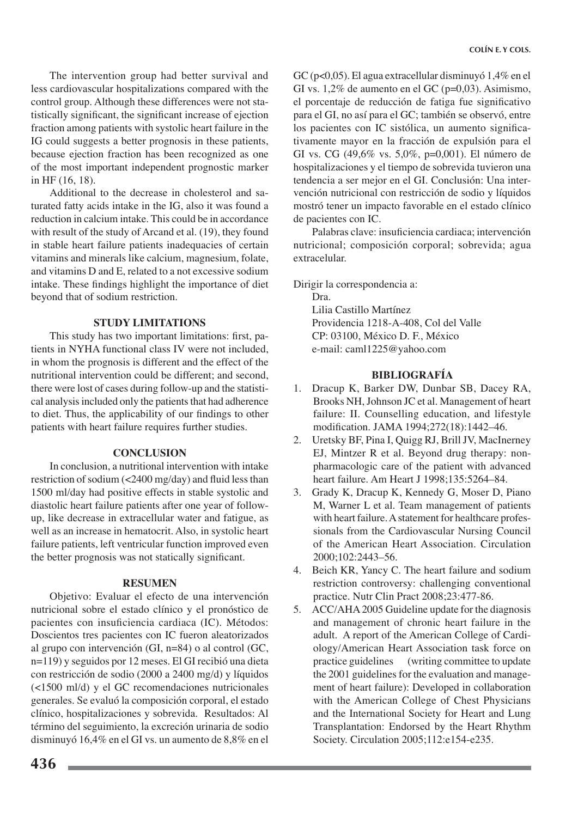The intervention group had better survival and less cardiovascular hospitalizations compared with the control group. Although these differences were not statistically significant, the significant increase of ejection fraction among patients with systolic heart failure in the IG could suggests a better prognosis in these patients, because ejection fraction has been recognized as one of the most important independent prognostic marker in HF (16, 18).

Additional to the decrease in cholesterol and saturated fatty acids intake in the IG, also it was found a reduction in calcium intake. This could be in accordance with result of the study of Arcand et al. (19), they found in stable heart failure patients inadequacies of certain vitamins and minerals like calcium, magnesium, folate, and vitamins D and E, related to a not excessive sodium intake. These findings highlight the importance of diet beyond that of sodium restriction.

# **STUDY LIMITATIONS**

This study has two important limitations: first, patients in NYHA functional class IV were not included, in whom the prognosis is different and the effect of the nutritional intervention could be different; and second, there were lost of cases during follow-up and the statistical analysis included only the patients that had adherence to diet. Thus, the applicability of our findings to other patients with heart failure requires further studies.

# **CONCLUSION**

In conclusion, a nutritional intervention with intake restriction of sodium (<2400 mg/day) and fluid less than 1500 ml/day had positive effects in stable systolic and diastolic heart failure patients after one year of followup, like decrease in extracellular water and fatigue, as well as an increase in hematocrit. Also, in systolic heart failure patients, left ventricular function improved even the better prognosis was not statically significant.

# **RESUMEN**

Objetivo: Evaluar el efecto de una intervención nutricional sobre el estado clínico y el pronóstico de pacientes con insuficiencia cardiaca (IC). Métodos: Doscientos tres pacientes con IC fueron aleatorizados al grupo con intervención (GI,  $n=84$ ) o al control (GC, n=119) y seguidos por 12 meses. El GI recibió una dieta con restricción de sodio (2000 a 2400 mg/d) y líquidos (<1500 ml/d) y el GC recomendaciones nutricionales generales. Se evaluó la composición corporal, el estado clínico, hospitalizaciones y sobrevida. Resultados: Al término del seguimiento, la excreción urinaria de sodio disminuyó 16,4% en el GI vs. un aumento de 8,8% en el GC ( $p<0.05$ ). El agua extracellular disminuyó 1,4% en el GI vs. 1,2% de aumento en el GC ( $p=0,03$ ). Asimismo, el porcentaje de reducción de fatiga fue significativo para el GI, no así para el GC; también se observó, entre los pacientes con IC sistólica, un aumento significativamente mayor en la fracción de expulsión para el GI vs. CG (49,6% vs. 5,0%, p=0,001). El número de hospitalizaciones y el tiempo de sobrevida tuvieron una tendencia a ser mejor en el GI. Conclusión: Una intervención nutricional con restricción de sodio y líquidos mostró tener un impacto favorable en el estado clínico de pacientes con IC.

Palabras clave: insuficiencia cardiaca; intervención nutricional; composición corporal; sobrevida; agua extracelular.

Dirigir la correspondencia a:

Dra

Lilia Castillo Martínez Providencia 1218-A-408, Col del Valle CP: 03100, México D. F., México e-mail: caml1225@yahoo.com

# **BIBLIOGRAFÍA**

- 1. Dracup K, Barker DW, Dunbar SB, Dacey RA, Brooks NH, Johnson JC et al. Management of heart failure: II. Counselling education, and lifestyle modification. JAMA 1994;272(18):1442-46.
- 2. Uretsky BF, Pina I, Quigg RJ, Brill JV, MacInerney EJ, Mintzer R et al. Beyond drug therapy: nonpharmacologic care of the patient with advanced heart failure. Am Heart J 1998:135:5264–84.
- $3.$ Grady K, Dracup K, Kennedy G, Moser D, Piano M, Warner L et al. Team management of patients with heart failure. A statement for healthcare professionals from the Cardiovascular Nursing Council of the American Heart Association. Circulation 2000;102:2443-56.
- 4. Beich KR, Yancy C. The heart failure and sodium restriction controversy: challenging conventional practice. Nutr Clin Pract 2008;23:477-86.
- 5. ACC/AHA 2005 Guideline update for the diagnosis and management of chronic heart failure in the adult. A report of the American College of Cardiology/American Heart Association task force on practice guidelines (writing committee to update) the 2001 guidelines for the evaluation and management of heart failure): Developed in collaboration with the American College of Chest Physicians and the International Society for Heart and Lung Transplantation: Endorsed by the Heart Rhythm Society. Circulation 2005;112:e154-e235.